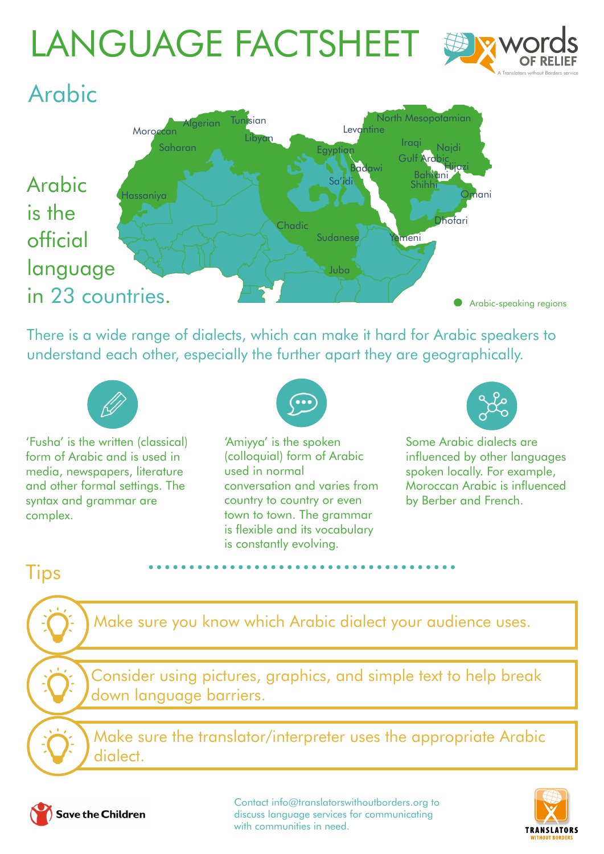# LANGUAGE FACTSHEET



#### Arabic Arabic is the official language in 23 countries. Gulf Ard Bahrani **Naidi** hani Hijazi Shihhi thofari neni `hadi Sudanese Sa'idi Egyptian Juba Badawi **Levantine** North Mesopotamian Iraqi Hassaniya **Moroccan Saharar** Algerian Tunisian Libyan Arabic-speaking regions

There is a wide range of dialects, which can make it hard for Arabic speakers to understand each other, especially the further apart they are geographically.



'Fusha' is the written (classical) form of Arabic and is used in media, newspapers, literature and other formal settings. The syntax and grammar are complex.



'Amiyya' is the spoken (colloquial) form of Arabic used in normal conversation and varies from country to country or even town to town. The grammar is flexible and its vocabulary is constantly evolving.



Some Arabic dialects are influenced by other languages spoken locally. For example, Moroccan Arabic is influenced by Berber and French.

Make sure you know which Arabic dialect your audience uses.

Consider using pictures, graphics, and simple text to help break down language barriers.

Make sure the translator/interpreter uses the appropriate Arabic dialect.



**Tips** 

Contact [info@translatorswithoutborders.org](mailto:info%40translatorswithoutborders.org?subject=) to discuss language services for communicating with communities in need.